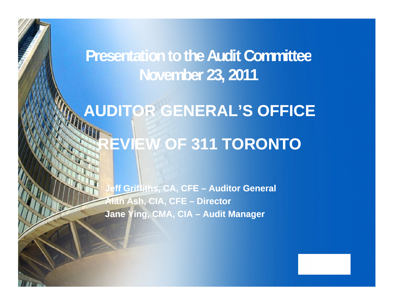**Presentation to the Audit Committee November 23, 2011**

# **AUDITOR GENERAL'S OFFICE REVIEW OF 311 TORONTO**

**Jeff Griffiths, CA, CFE – Auditor General Alan Ash, CIA, CFE – Director Jane Ying, CMA, CIA – Audit Manager**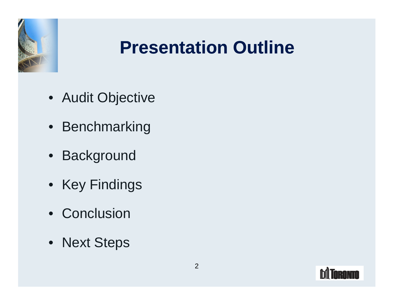

### **Presentation Outline**

- Audit Objective
- Benchmarking
- Background
- Key Findings
- Conclusion
- Next Steps

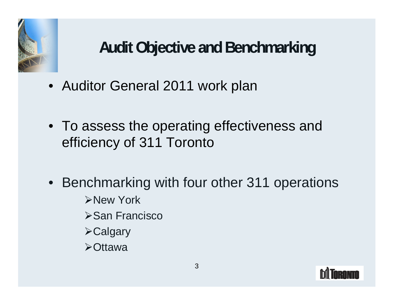

#### **Audit Objective and Benchmarking**

- Auditor General 2011 work plan
- To assess the operating effectiveness and efficiency of 311 Toronto
- Benchmarking with four other 311 operations New York San Francisco **San Francisco Antiche anno 1999 Calgary Calgary Calgary Calgary Calgary Calgary Calgary Calgary Calgary Ottawa** *Container and Container and Container and Container and Container and Container and Container and Container*

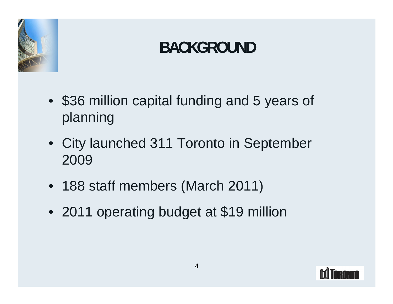

#### **BACKGROUND**

- \$36 million capital funding and 5 years of planning the contract of the contract of the contract of the contract of the contract of the contract of the contract of the contract of the contract of the contract of the contract of the contract of the contract of the c
- City launched 311 Toronto in September 2009
- 188 staff members (March 2011)
- 2011 operating budget at \$19 million

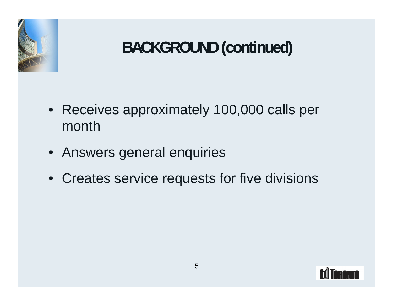

#### **BACKGROUND(continued)**

- Receives approximately 100,000 calls per month
- Answers general enquiries
- Creates service requests for five divisions

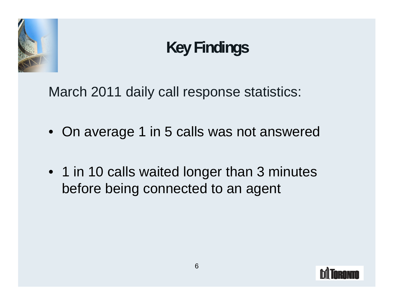

#### **KeyFindings**

March 2011 daily call response statistics:

- On average 1 in 5 calls was not answered
- 1 in 10 calls waited longer than 3 minutes before being connected to an agent

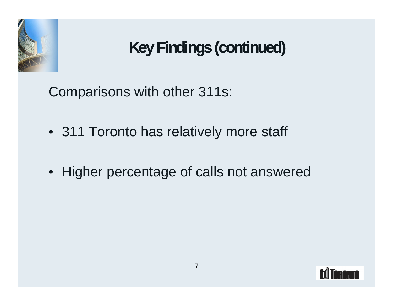

Comparisons with other 311s:

- 311 Toronto has relatively more staff
- Higher percentage of calls not answered

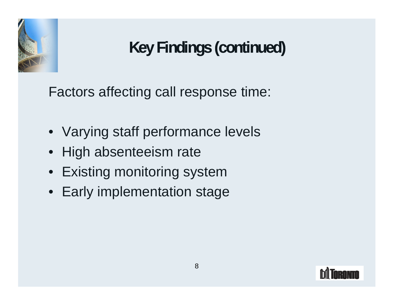

Factors affecting call response time:

- Varying staff performance levels
- High absenteeism rate
- Existing monitoring system
- Early implementation stage

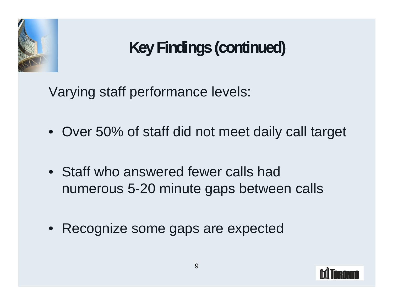

Varying staff performance levels:

- Over 50% of staff did not meet daily call target
- Staff who answered fewer calls had numerous 5-20 minute gaps between calls
- Recognize some gaps are expected

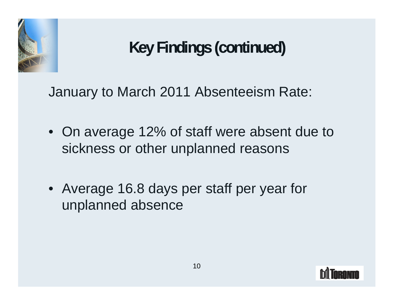

January to March 2011 Absenteeism Rate:

- On average 12% of staff were absent due to sickness or other unplanned reasons
- Average 16.8 days per staff per year for unplanned absence

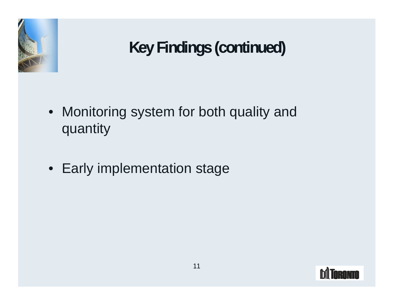

- Monitoring system for both quality and quantity
- Early implementation stage

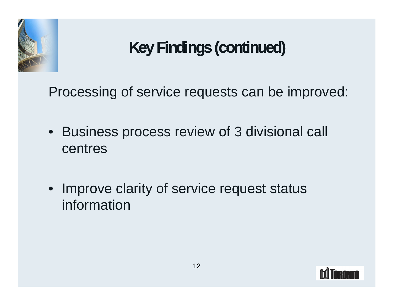

Processing of service requests can be improved:

- Business process review of 3 divisional call centres
- Improve clarity of service request status information

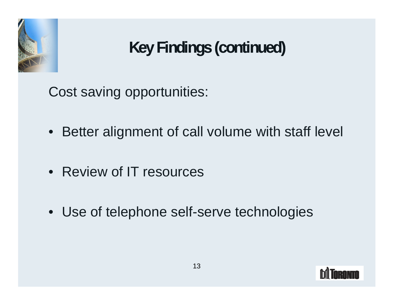

Cost saving opportunities:

- Better alignment of call volume with staff level
- Review of IT resources
- Use of telephone self-serve technologies

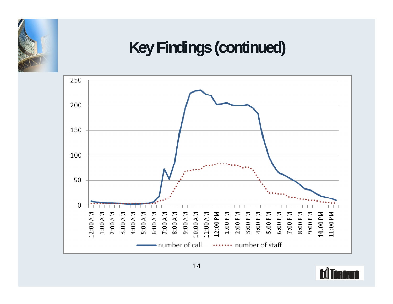

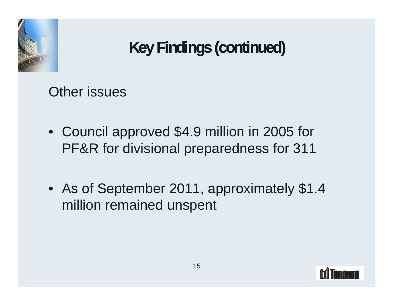

Other issues

- Council approved \$4.9 million in 2005 for PF&R for divisional preparedness for 311
- As of September 2011, approximately \$1.4 million remained unspent

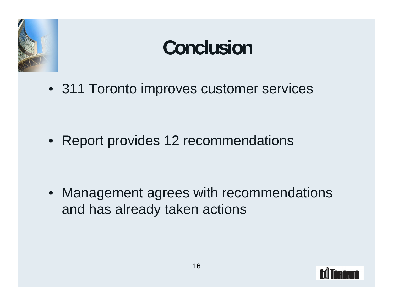

### **Conclusion**

• 311 Toronto improves customer services

• Report provides 12 recommendations

• Management agrees with recommendations and has already taken actions

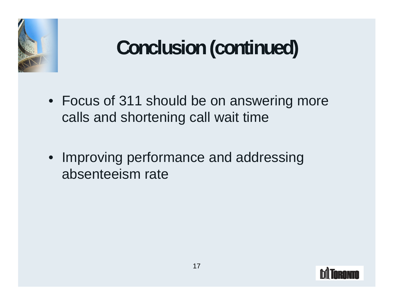

## **Conclusion(continued)**

- Focus of 311 should be on answering more calls and shortening call wait time
- Improving performance and addressing absenteeism rate